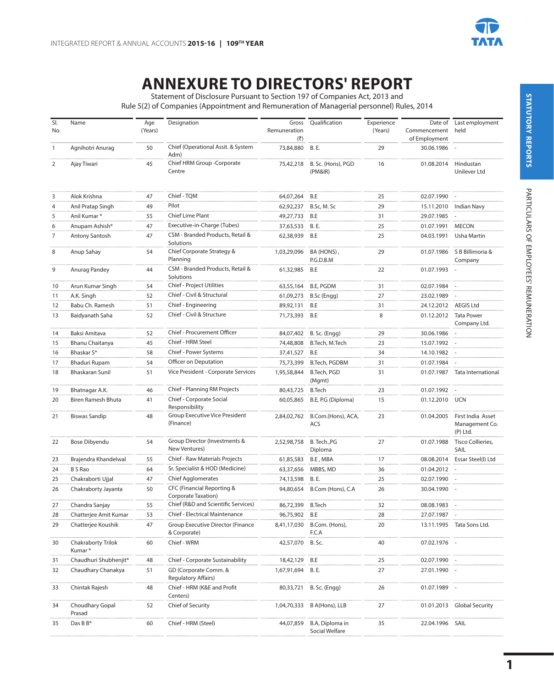

## **ANNEXURE TO DIRECTORS' REPORT**

Statement of Disclosure Pursuant to Section 197 of Companies Act, 2013 and

Rule 5(2) of Companies (Appointment and Remuneration of Managerial personnel) Rules, 2014

| SI.<br>No.     | Name                         | Age<br>(Years) | Designation                                              | Gross<br>Remuneration<br>$(\overline{\zeta})$ | Oualification                     | Experience<br>(Years) | Commencement<br>of Employment | Date of Last employment<br>held                 |
|----------------|------------------------------|----------------|----------------------------------------------------------|-----------------------------------------------|-----------------------------------|-----------------------|-------------------------------|-------------------------------------------------|
| $\mathbf{1}$   | Agnihotri Anurag             | 50             | Chief (Operational Assit. & System<br>Adm)               | 73,84,880 B.E.                                |                                   | 29                    | 30.06.1986                    |                                                 |
| $\overline{2}$ | Ajay Tiwari                  | 45             | Chief HRM Group -Corporate<br>Centre                     | 75,42,218                                     | B. Sc. (Hons), PGD<br>(PM&IR)     | 16                    | 01.08.2014                    | Hindustan<br>Unilever Ltd                       |
| 3              | Alok Krishna                 | 47             | Chief - TQM                                              | 64,07,264 B.E                                 |                                   | 25                    | 02.07.1990                    |                                                 |
| $\overline{4}$ | Anil Pratap Singh            | 49             | Pilot                                                    | 62,92,237                                     | B.Sc, M. Sc                       | 29                    | 15.11.2010                    | <b>Indian Navy</b>                              |
| 5              | Anil Kumar*                  | 55             | Chief Lime Plant                                         | 49,27,733                                     | B.E                               | 31                    | 29.07.1985                    |                                                 |
| 6              | Anupam Ashish*               | 47             | Executive-in-Charge (Tubes)                              | 37,63,533                                     | <b>B.E.</b>                       | 25                    | 01.07.1991                    | <b>MECON</b>                                    |
| $\overline{7}$ | Antony Santosh               | 47             | CSM - Branded Products, Retail &<br>Solutions            | 62,38,939                                     | B.E                               | 25                    | 04.03.1991                    | <b>Usha Martin</b>                              |
| 8              | Anup Sahay                   | 54             | Chief Corporate Strategy &<br>Planning                   | 1,03,29,096                                   | BA (HONS),<br>P.G.D.B.M           | 29                    | 01.07.1986                    | S B Billimoria &<br>Company                     |
| 9              | Anurag Pandey                | 44             | CSM - Branded Products, Retail &<br>Solutions            | 61,32,985                                     | B.E                               | 22                    | 01.07.1993 -                  |                                                 |
| 10             | Arun Kumar Singh             | 54             | Chief - Project Utilities                                | 63,55,164                                     | B.E, PGDM                         | 31                    | 02.07.1984                    |                                                 |
| 11             | A.K. Singh                   | 52             | Chief - Civil & Structural                               | 61,09,273                                     | B.Sc (Engg)                       | 27                    | 23.02.1989                    |                                                 |
| 12             | Babu Ch. Ramesh              | 51             | Chief - Engineering                                      | 89,92,131                                     | B.E                               | 31                    | 24.12.2012 AEGIS Ltd          |                                                 |
| 13             | Baidyanath Saha              | 52             | Chief - Civil & Structure                                | 71,73,393                                     | B.E                               | 8                     |                               | 01.12.2012 Tata Power<br>Company Ltd.           |
| 14             | Baksi Amitava                | 52             | Chief - Procurement Officer                              | 84,07,402                                     | B. Sc. (Engg)                     | 29                    | 30.06.1986                    |                                                 |
| 15             | Bhanu Chaitanya              | 45             | Chief - HRM Steel                                        | 74,48,808                                     | B.Tech, M.Tech                    | 23                    | 15.07.1992                    |                                                 |
| 16             | Bhaskar S*                   | 58             | Chief - Power Systems                                    | 37,41,527                                     | B.E                               | 34                    | 14.10.1982                    |                                                 |
| 17             | <b>Bhaduri Rupam</b>         | 54             | Officer on Deputation                                    | 75,73,399                                     | B.Tech, PGDBM                     | 31                    | 01.07.1984                    |                                                 |
| 18             | <b>Bhaskaran Sunil</b>       | 51             | Vice President - Corporate Services                      | 1,95,58,844                                   | B.Tech, PGD<br>(Mgmt)             | 31                    |                               | 01.07.1987 Tata International                   |
| 19             | Bhatnagar A.K.               | 46             | Chief - Planning RM Projects                             | 80,43,725                                     | <b>B.Tech</b>                     | 23                    | 01.07.1992                    |                                                 |
| 20             | Biren Ramesh Bhuta           | 41             | Chief - Corporate Social<br>Responsibility               | 60,05,865                                     | B.E, P.G (Diploma)                | 15                    | 01.12.2010 UCN                |                                                 |
| 21             | <b>Biswas Sandip</b>         | 48             | Group Executive Vice President<br>(Finance)              | 2,84,02,762                                   | B.Com.(Hons), ACA,<br><b>ACS</b>  | 23                    | 01.04.2005                    | First India Asset<br>Management Co.<br>(P) Ltd. |
| 22             | Bose Dibyendu                | 54             | Group Director (Investments &<br>New Ventures)           | 2,52,98,758                                   | B. Tech., PG<br>Diploma           | 27                    | 01.07.1988                    | Tisco Collieries,<br>SAIL                       |
| 23             | Brajendra Khandelwal         | 55             | Chief - Raw Materials Projects                           | 61,85,583                                     | B.E, MBA                          | 17                    |                               | 08.08.2014 Essar Steel(I) Ltd                   |
| 24             | <b>B S Rao</b>               | 64             | Sr. Specialist & HOD (Medicine)                          | 63,37,656                                     | MBBS, MD                          | 36                    | 01.04.2012                    |                                                 |
| 25             | Chakraborti Ujjal            | 47             | <b>Chief Agglomerates</b>                                | 74,13,598                                     | <b>B.E.</b>                       | 25                    | 02.07.1990                    |                                                 |
| 26             | Chakraborty Jayanta          | 50             | CFC (Financial Reporting &<br>Corporate Taxation)        | 94,80,654                                     | B.Com (Hons), C.A                 | 26                    | 30.04.1990                    |                                                 |
| 27             | Chandra Sanjay               | 55             | Chief (R&D and Scientific Services)                      | 86,72,399                                     | <b>B.Tech</b>                     | 32                    | 08.08.1983                    |                                                 |
| 28             | Chatterjee Amit Kumar        | 53             | Chief - Electrical Maintenance                           | 96,75,902                                     | B.E                               | 28                    | 27.07.1987                    |                                                 |
| 29             | Chatterjee Koushik           | 47             | <b>Group Executive Director (Finance</b><br>& Corporate) | 8,41,17,030                                   | B.Com. (Hons),<br>F.C.A           | 20                    |                               | 13.11.1995 Tata Sons Ltd.                       |
| 30             | Chakraborty Trilok<br>Kumar* | 60             | Chief - WRM                                              | 42,57,070 B. Sc.                              |                                   | 40                    | 07.02.1976 -                  |                                                 |
| 31             | Chaudhuri Shubhenjit*        | 48             | Chief - Corporate Sustainability                         | 18,42,129 B.E                                 |                                   | 25                    | 02.07.1990                    |                                                 |
| 32             | Chaudhary Chanakya           | 51             | GD (Corporate Comm. &<br>Regulatory Affairs)             | 1,67,91,694                                   | B. E.                             | 27                    | 27.01.1990                    |                                                 |
| 33             | Chintak Rajesh               | 48             | Chief - HRM (K&E and Profit<br>Centers)                  | 80,33,721                                     | B. Sc. (Engg)                     | 26                    | 01.07.1989                    |                                                 |
| 34             | Choudhary Gopal<br>Prasad    | 52             | Chief of Security                                        | 1,04,70,333                                   | B A(Hons), LLB                    | 27                    |                               | 01.01.2013 Global Security                      |
| 35             | Das B B*                     | 60             | Chief - HRM (Steel)                                      | 44,07,859                                     | B.A, Diploma in<br>Social Welfare | 35                    | 22.04.1996                    | SAIL                                            |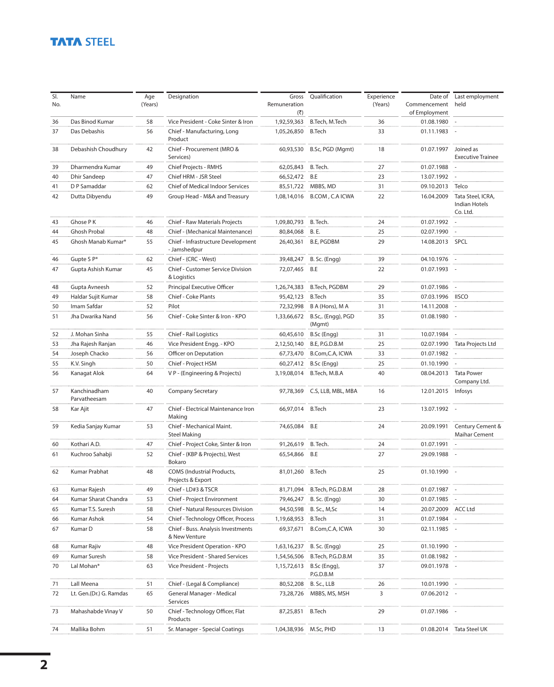## **TATA STEEL**

| SI.<br>No. | Name                         | Age<br>(Years) | Designation                                            | Gross<br>Remuneration<br>(3) | Qualification                | Experience<br>(Years) | Date of<br>Commencement<br>of Employment | Last employment<br>held                        |
|------------|------------------------------|----------------|--------------------------------------------------------|------------------------------|------------------------------|-----------------------|------------------------------------------|------------------------------------------------|
| 36         | Das Binod Kumar              | 58             | Vice President - Coke Sinter & Iron                    | 1,92,59,363                  | B.Tech, M.Tech               | 36                    | 01.08.1980                               |                                                |
| 37         | Das Debashis                 | 56             | Chief - Manufacturing, Long<br>Product                 | 1,05,26,850                  | <b>B.Tech</b>                | 33                    | 01.11.1983                               |                                                |
| 38         | Debashish Choudhury          | 42             | Chief - Procurement (MRO &<br>Services)                | 60,93,530                    | B.Sc, PGD (Mgmt)             | 18                    | 01.07.1997                               | Joined as<br><b>Executive Trainee</b>          |
| 39         | Dharmendra Kumar             | 49             | Chief Projects - RMHS                                  | 62,05,843                    | B. Tech.                     | 27                    | 01.07.1988                               |                                                |
| 40         | <b>Dhir Sandeep</b>          | 47             | Chief HRM - JSR Steel                                  | 66,52,472                    | B.E                          | 23                    | 13.07.1992                               |                                                |
| 41         | D P Samaddar                 | 62             | Chief of Medical Indoor Services                       | 85,51,722                    | MBBS, MD                     | 31                    | 09.10.2013 Telco                         |                                                |
| 42         | Dutta Dibyendu               | 49             | Group Head - M&A and Treasury                          | 1.08.14.016                  | B.COM, C.A ICWA              | 22                    | 16.04.2009                               | Tata Steel, ICRA,<br>Indian Hotels<br>Co. Ltd. |
| 43         | Ghose P K                    | 46             | Chief - Raw Materials Projects                         | 1,09,80,793                  | B. Tech.                     | 24                    | 01.07.1992                               |                                                |
| 44         | <b>Ghosh Probal</b>          | 48             | Chief - (Mechanical Maintenance)                       | 80,84,068                    | <b>B.E.</b>                  | 25                    | 02.07.1990                               |                                                |
| 45         | Ghosh Manab Kumar*           | 55             | Chief - Infrastructure Development<br>- Jamshedpur     | 26,40,361                    | <b>B.E, PGDBM</b>            | 29                    | 14.08.2013 SPCL                          |                                                |
| 46         | Gupte S P*                   | 62             | Chief - (CRC - West)                                   | 39,48,247                    | B. Sc. (Engg)                | 39                    | 04.10.1976                               |                                                |
| 47         | Gupta Ashish Kumar           | 45             | Chief - Customer Service Division<br>& Logistics       | 72,07,465                    | B.E                          | 22                    | 01.07.1993 -                             |                                                |
| 48         | Gupta Avneesh                | 52             | Principal Executive Officer                            | 1,26,74,383                  | B.Tech, PGDBM                | 29                    | 01.07.1986                               |                                                |
| 49         | Haldar Sujit Kumar           | 58             | Chief - Coke Plants                                    | 95,42,123                    | <b>B.Tech</b>                | 35                    | 07.03.1996 IISCO                         |                                                |
| 50         | Imam Safdar                  | 52             | Pilot                                                  | 72,32,998                    | B A (Hons), M A              | 31                    | 14.11.2008                               |                                                |
| 51         | Jha Dwarika Nand             | 56             | Chief - Coke Sinter & Iron - KPO                       | 1,33,66,672                  | B.Sc,. (Engg), PGD<br>(Mgmt) | 35                    | 01.08.1980                               |                                                |
| 52         | J. Mohan Sinha               | 55             | Chief - Rail Logistics                                 | 60,45,610                    | B.Sc (Engg)                  | 31                    | 10.07.1984                               |                                                |
| 53         | Jha Rajesh Ranjan            | 46             | Vice President Engg. - KPO                             | 2,12,50,140                  | <b>B.E, P.G.D.B.M</b>        | 25                    | 02.07.1990                               | Tata Projects Ltd                              |
| 54         | Joseph Chacko                | 56             | Officer on Deputation                                  | 67,73,470                    | B.Com, C.A, ICWA             | 33                    | 01.07.1982                               |                                                |
| 55         | K.V. Singh                   | 50             | Chief - Project HSM                                    | 60,27,412                    | B.Sc (Engg)                  | 25                    | 01.10.1990                               |                                                |
| 56         | Kanagat Alok                 | 64             | V P - (Engineering & Projects)                         | 3,19,08,014                  | B.Tech, M.B.A                | 40                    |                                          | 08.04.2013 Tata Power<br>Company Ltd.          |
| 57         | Kanchinadham<br>Parvatheesam | 40             | <b>Company Secretary</b>                               | 97,78,369                    | C.S, LLB, MBL, MBA           | 16                    | 12.01.2015 Infosys                       |                                                |
| 58         | Kar Ajit                     | 47             | Chief - Electrical Maintenance Iron<br>Making          | 66,97,014 B.Tech             |                              | 23                    | 13.07.1992 -                             |                                                |
| 59         | Kedia Sanjay Kumar           | 53             | Chief - Mechanical Maint.<br><b>Steel Making</b>       | 74,65,084 B.E                |                              | 24                    | 20.09.1991                               | Century Cement &<br>Maihar Cement              |
| 60         | Kothari A.D.                 | 47             | Chief - Project Coke, Sinter & Iron                    | 91,26,619                    | B. Tech.                     | 24                    | 01.07.1991                               |                                                |
| 61         | Kuchroo Sahabji              | 52             | Chief - (KBP & Projects), West<br>Bokaro               | 65,54,866                    | B.E                          | 27                    | 29.09.1988                               |                                                |
| 62         | Kumar Prabhat                | 48             | <b>COMS</b> (Industrial Products,<br>Projects & Export | 81,01,260                    | <b>B.Tech</b>                | 25                    | 01.10.1990                               |                                                |
| 63         | Kumar Rajesh                 | 49             | Chief - LD#3 & TSCR                                    | 81,71,094                    | B.Tech, P.G.D.B.M            | 28                    | 01.07.1987                               |                                                |
| 64         | Kumar Sharat Chandra         | 53             | Chief - Project Environment                            | 79,46,247                    | B. Sc. (Engg)                | 30                    | 01.07.1985 -                             |                                                |
| 65         | Kumar T.S. Suresh            | 58             | Chief - Natural Resources Division                     | 94,50,598                    | B. Sc., M,Sc                 | 14                    | 20.07.2009                               | <b>ACC Ltd</b>                                 |
| 66         | Kumar Ashok                  | 54             | Chief - Technology Officer, Process                    | 1,19,68,953                  | <b>B.Tech</b>                | 31                    | 01.07.1984                               |                                                |
| 67         | Kumar D                      | 58             | Chief - Buss. Analysis Investments<br>& New Venture    | 69,37,671                    | B.Com, C.A, ICWA             | 30                    | 02.11.1985                               |                                                |
| 68         | Kumar Rajiv                  | 48             | Vice President Operation - KPO                         | 1,63,16,237                  | B. Sc. (Engg)                | 25                    | 01.10.1990                               |                                                |
| 69         | Kumar Suresh                 | 58             | Vice President - Shared Services                       | 1,54,56,506                  | B.Tech, P.G.D.B.M            | 35                    | 01.08.1982                               |                                                |
| 70         | Lal Mohan*                   | 63             | Vice President - Projects                              | 1,15,72,613                  | B.Sc (Engg),<br>P.G.D.B.M    | 37                    | 09.01.1978 -                             |                                                |
| 71         | Lall Meena                   | 51             | Chief - (Legal & Compliance)                           | 80,52,208                    | B. Sc., LLB                  | 26                    | 10.01.1990                               |                                                |
| 72         | Lt. Gen.(Dr.) G. Ramdas      | 65             | General Manager - Medical<br>Services                  | 73,28,726                    | MBBS, MS, MSH                | 3                     | 07.06.2012 -                             |                                                |
| 73         | Mahashabde Vinay V           | 50             | Chief - Technology Officer, Flat<br>Products           | 87,25,851                    | <b>B.Tech</b>                | 29                    | 01.07.1986                               |                                                |
| 74         | Mallika Bohm                 | 51             | Sr. Manager - Special Coatings                         | 1,04,38,936                  | M.Sc, PHD                    | 13                    | 01.08.2014                               | Tata Steel UK                                  |
|            |                              |                |                                                        |                              |                              |                       |                                          |                                                |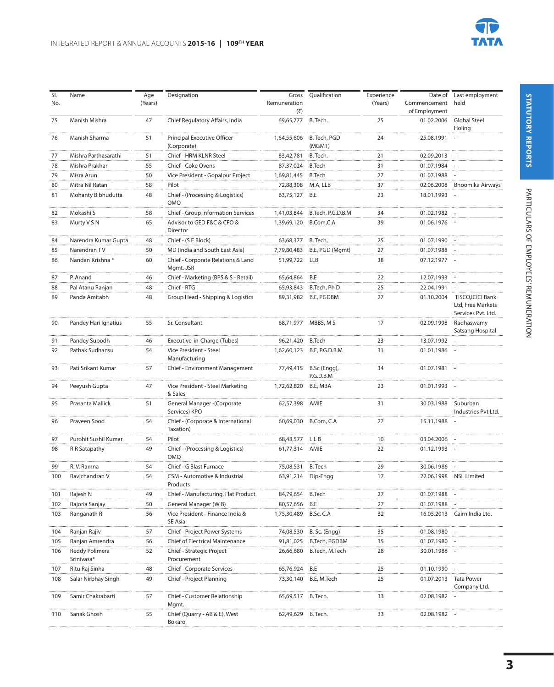

| SI.<br>No. | Name                         | Age<br>(Years) | Designation                                     | Gross<br>Remuneration<br>(₹) | Qualification              | Experience<br>(Years) | Date of<br>Commencement<br>of Employment | Last employment<br>held                                      |
|------------|------------------------------|----------------|-------------------------------------------------|------------------------------|----------------------------|-----------------------|------------------------------------------|--------------------------------------------------------------|
| 75         | Manish Mishra                | 47             | Chief Regulatory Affairs, India                 | 69,65,777                    | B. Tech.                   | 25                    | 01.02.2006                               | <b>Global Steel</b><br>Holing                                |
| 76         | Manish Sharma                | 51             | Principal Executive Officer<br>(Corporate)      | 1,64,55,606                  | B. Tech, PGD<br>(MGMT)     | 24                    | 25.08.1991                               |                                                              |
| 77         | Mishra Parthasarathi         | 51             | Chief - HRM KLNR Steel                          | 83,42,781                    | B. Tech.                   | 21                    | 02.09.2013 -                             |                                                              |
| 78         | Mishra Prakhar               | 55             | Chief - Coke Ovens                              | 87,37,024                    | <b>B.Tech</b>              | 31                    | 01.07.1984                               |                                                              |
| 79         | Misra Arun                   | 50             | Vice President - Gopalpur Project               | 1,69,81,445                  | <b>B.Tech</b>              | 27                    | 01.07.1988                               |                                                              |
| 80         | Mitra Nil Ratan              | 58             | Pilot                                           | 72,88,308                    | M.A, LLB                   | 37                    | 02.06.2008                               | Bhoomika Airways                                             |
| 81         | Mohanty Bibhudutta           | 48             | Chief - (Processing & Logistics)<br>OMQ         | 63,75,127 B.E                |                            | 23                    | 18.01.1993 -                             |                                                              |
| 82         | Mokashi S                    | 58             | Chief - Group Information Services              | 1,41,03,844                  | B.Tech, P.G.D.B.M          | 34                    | 01.02.1982                               |                                                              |
| 83         | Murty V S N                  | 65             | Advisor to GED F&C & CFO &<br>Director          | 1,39,69,120                  | B.Com,C.A                  | 39                    | 01.06.1976 -                             |                                                              |
| 84         | Narendra Kumar Gupta         | 48             | Chief - (S E Block)                             | 63,68,377 B. Tech,           |                            | 25                    | 01.07.1990                               |                                                              |
| 85         | Narendran TV                 | 50             | MD (India and South East Asia)                  | 7,79,80,483                  | B.E, PGD (Mgmt)            | 27                    | 01.07.1988                               |                                                              |
| 86         | Nandan Krishna *             | 60             | Chief - Corporate Relations & Land<br>Mgmt.-JSR | 51,99,722 LLB                |                            | 38                    | 07.12.1977 -                             |                                                              |
| 87         | P. Anand                     | 46             | Chief - Marketing (BPS & S - Retail)            | 65,64,864                    | B.E                        | 22                    | 12.07.1993                               |                                                              |
| 88         | Pal Atanu Ranjan             | 48             | Chief - RTG                                     | 65.93.843                    | B.Tech, Ph D               | 25                    | 22.04.1991                               |                                                              |
| 89         | Panda Amitabh                | 48             | Group Head - Shipping & Logistics               | 89,31,982                    | B.E, PGDBM                 | 27                    | 01.10.2004                               | TISCO, ICICI Bank<br>Ltd, Free Markets<br>Services Pvt. Ltd. |
| 90         | Pandey Hari Ignatius         | 55             | Sr. Consultant                                  |                              | 68,71,977 MBBS, M S        | 17                    | 02.09.1998                               | Radhaswamy<br>Satsang Hospital                               |
| 91         | Pandey Subodh                | 46             | Executive-in-Charge (Tubes)                     | 96,21,420 B.Tech             |                            | 23                    | 13.07.1992 -                             |                                                              |
| 92         | Pathak Sudhansu              | 54             | Vice President - Steel<br>Manufacturing         |                              | 1,62,60,123 B.E, P.G.D.B.M | 31                    | 01.01.1986                               |                                                              |
| 93         | Pati Srikant Kumar           | 57             | Chief - Environment Management                  | 77,49,415                    | B.Sc (Engg),<br>P.G.D.B.M  | 34                    | 01.07.1981 -                             |                                                              |
| 94         | Peeyush Gupta                | 47             | Vice President - Steel Marketing<br>& Sales     | 1,72,62,820                  | B.E, MBA                   | 23                    | 01.01.1993                               |                                                              |
| 95         | Prasanta Mallick             | 51             | General Manager - (Corporate<br>Services) KPO   | 62,57,398                    | AMIE                       | 31                    | 30.03.1988                               | Suburban<br>Industries Pvt Ltd.                              |
| 96         | Praveen Sood                 | 54             | Chief - (Corporate & International<br>Taxation) | 60,69,030                    | B.Com, C.A                 | 27                    | 15.11.1988                               |                                                              |
| 97         | Purohit Sushil Kumar         | 54             | Pilot                                           | 68,48,577                    | LLB                        | 10                    | 03.04.2006                               |                                                              |
| 98         | R R Satapathy                | 49             | Chief - (Processing & Logistics)<br>OMQ         | 61,77,314                    | AMIE                       | 22                    | 01.12.1993 -                             |                                                              |
| 99         | R.V. Ramna                   | 54             | Chief - G Blast Furnace                         | 75,08,531                    | B. Tech                    | 29                    | 30.06.1986                               |                                                              |
| 100        | Ravichandran V               | 54             | CSM - Automotive & Industrial<br>Products       | 63,91,214                    | Dip-Engg                   | 17                    |                                          | 22.06.1998 NSL Limited                                       |
| 101        | Rajesh N                     | 49             | Chief - Manufacturing, Flat Product             | 84,79,654                    | <b>B.Tech</b>              | 27                    | 01.07.1988                               |                                                              |
| 102        | Rajoria Sanjay               | 50             | General Manager (WB)                            | 80,57,656                    | B.E                        | 27                    | 01.07.1988                               |                                                              |
| 103        | Ranganath R                  | 56             | Vice President - Finance India &<br>SE Asia     | 1,75,30,489 B.Sc, C.A        |                            | 32                    |                                          | 16.05.2013 Cairn India Ltd.                                  |
| 104        | Ranjan Rajiv                 | 57             | Chief - Project Power Systems                   |                              | 74,08,530 B. Sc. (Engg)    | 35                    | 01.08.1980                               |                                                              |
| 105        | Ranjan Amrendra              | 56             | Chief of Electrical Maintenance                 |                              | 91,81,025 B.Tech, PGDBM    | 35                    | 01.07.1980                               |                                                              |
| 106        | Reddy Polimera<br>Srinivasa* | 52             | Chief - Strategic Project<br>Procurement        |                              | 26,66,680 B.Tech, M.Tech   | 28                    | 30.01.1988                               |                                                              |
| 107        | Ritu Raj Sinha               | 48             | Chief - Corporate Services                      | 65,76,924 B.E                |                            | 25                    | 01.10.1990                               |                                                              |
| 108        | Salar Nirbhay Singh          | 49             | Chief - Project Planning                        |                              | 73,30,140 B.E, M.Tech      | 25                    |                                          | 01.07.2013 Tata Power<br>Company Ltd.                        |
| 109        | Samir Chakrabarti            | 57             | Chief - Customer Relationship<br>Mgmt.          | 65,69,517 B. Tech.           |                            | 33                    | 02.08.1982                               |                                                              |
| 110        | Sanak Ghosh                  | 55             | Chief (Quarry - AB & E), West<br>Bokaro         | 62,49,629 B. Tech.           |                            | 33                    | 02.08.1982 -                             |                                                              |
|            |                              |                |                                                 |                              |                            |                       |                                          |                                                              |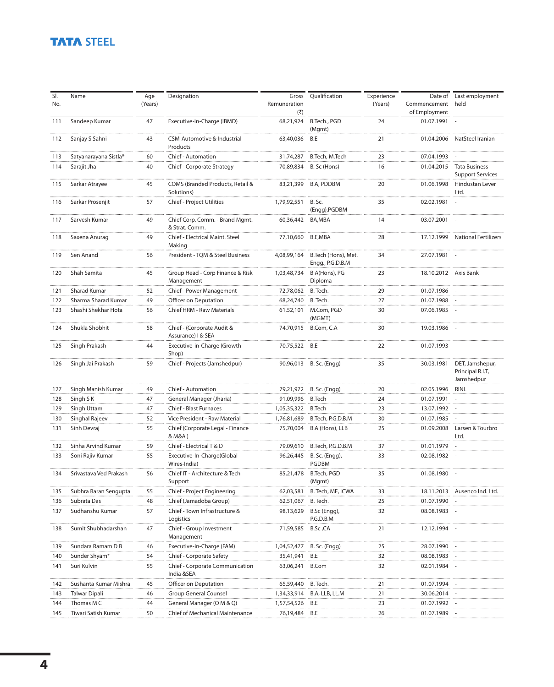## **TATA STEEL**

| SI. | Name                   | Age     | Designation                                       | Gross                                | Qualification                           | Experience | Date of                       | Last employment                                   |
|-----|------------------------|---------|---------------------------------------------------|--------------------------------------|-----------------------------------------|------------|-------------------------------|---------------------------------------------------|
| No. |                        | (Years) |                                                   | Remuneration<br>$(\overline{\zeta})$ |                                         | (Years)    | Commencement<br>of Employment | held                                              |
| 111 | Sandeep Kumar          | 47      | Executive-In-Charge (IBMD)                        | 68,21,924                            | B.Tech., PGD<br>(Mgmt)                  | 24         | 01.07.1991 -                  |                                                   |
| 112 | Sanjay S Sahni         | 43      | CSM-Automotive & Industrial<br>Products           | 63,40,036                            | B.E                                     | 21         | 01.04.2006                    | NatSteel Iranian                                  |
| 113 | Satyanarayana Sistla*  | 60      | Chief - Automation                                | 31,74,287                            | B.Tech, M.Tech                          | 23         | 07.04.1993                    |                                                   |
| 114 | Sarajit Jha            | 40      | Chief - Corporate Strategy                        | 70,89,834                            | B. Sc (Hons)                            | 16         | 01.04.2015                    | <b>Tata Business</b><br><b>Support Services</b>   |
| 115 | Sarkar Atrayee         | 45      | COMS (Branded Products, Retail &<br>Solutions)    |                                      | 83,21,399 B.A, PDDBM                    | 20         | 01.06.1998                    | Hindustan Lever<br>Ltd.                           |
| 116 | Sarkar Prosenjit       | 57      | Chief - Project Utilities                         | 1,79,92,551                          | B. Sc.<br>(Engg), PGDBM                 | 35         | 02.02.1981 -                  |                                                   |
| 117 | Sarvesh Kumar          | 49      | Chief Corp. Comm. - Brand Mgmt.<br>& Strat. Comm. | 60,36,442 BA,MBA                     |                                         | 14         | 03.07.2001 -                  |                                                   |
| 118 | Saxena Anurag          | 49      | Chief - Electrical Maint. Steel<br>Making         | 77,10,660                            | B.E,MBA                                 | 28         |                               | 17.12.1999 National Fertilizers                   |
| 119 | Sen Anand              | 56      | President - TQM & Steel Business                  | 4,08,99,164                          | B.Tech (Hons), Met.<br>Engg., P.G.D.B.M | 34         | 27.07.1981                    |                                                   |
| 120 | Shah Samita            | 45      | Group Head - Corp Finance & Risk<br>Management    | 1,03,48,734                          | B A(Hons), PG<br>Diploma                | 23         | 18.10.2012 Axis Bank          |                                                   |
| 121 | Sharad Kumar           | 52      | Chief - Power Management                          | 72,78,062                            | B. Tech.                                | 29         | 01.07.1986 -                  |                                                   |
| 122 | Sharma Sharad Kumar    | 49      | Officer on Deputation                             | 68,24,740                            | B. Tech.                                | 27         | 01.07.1988                    |                                                   |
| 123 | Shashi Shekhar Hota    | 56      | Chief HRM - Raw Materials                         | 61,52,101                            | M.Com, PGD<br>(MGMT)                    | 30         | 07.06.1985                    |                                                   |
| 124 | Shukla Shobhit         | 58      | Chief - (Corporate Audit &<br>Assurance) I & SEA  | 74,70,915                            | B.Com, C.A                              | 30         | 19.03.1986                    |                                                   |
| 125 | Singh Prakash          | 44      | Executive-in-Charge (Growth<br>Shop)              | 70,75,522 B.E                        |                                         | 22         | 01.07.1993                    |                                                   |
| 126 | Singh Jai Prakash      | 59      | Chief - Projects (Jamshedpur)                     |                                      | 90,96,013 B. Sc. (Engg)                 | 35         | 30.03.1981                    | DET, Jamshepur,<br>Principal R.I.T,<br>Jamshedpur |
| 127 | Singh Manish Kumar     | 49      | Chief - Automation                                | 79,21,972                            | B. Sc. (Engg)                           | 20         | 02.05.1996                    | RINL                                              |
| 128 | Singh SK               | 47      | General Manager (Jharia)                          | 91,09,996                            | <b>B.Tech</b>                           | 24         | 01.07.1991                    |                                                   |
| 129 | Singh Uttam            | 47      | <b>Chief - Blast Furnaces</b>                     | 1,05,35,322                          | <b>B.Tech</b>                           | 23         | 13.07.1992                    |                                                   |
| 130 | Singhal Rajeev         | 52      | Vice President - Raw Material                     | 1,76,81,689                          | B.Tech, P.G.D.B.M                       | 30         | 01.07.1985                    |                                                   |
| 131 | Sinh Devraj            | 55      | Chief (Corporate Legal - Finance<br>& M&A)        | 75,70,004                            | B.A (Hons), LLB                         | 25         | 01.09.2008                    | Larsen & Tourbro<br>Ltd.                          |
| 132 | Sinha Arvind Kumar     | 59      | Chief - Electrical T & D                          | 79,09,610                            | B.Tech, P.G.D.B.M                       | 37         | 01.01.1979                    |                                                   |
| 133 | Soni Rajiv Kumar       | 55      | Executive-In-Charge(Global<br>Wires-India)        | 96,26,445                            | B. Sc. (Engg),<br><b>PGDBM</b>          | 33         | 02.08.1982                    |                                                   |
| 134 | Srivastava Ved Prakash | 56      | Chief IT - Architecture & Tech<br>Support         | 85,21,478                            | B.Tech, PGD<br>(Mgmt)                   | 35         | 01.08.1980                    |                                                   |
| 135 | Subhra Baran Sengupta  | 55      | Chief - Project Engineering                       | 62.03.581                            | B. Tech, ME, ICWA                       | 33         |                               | 18.11.2013 Ausenco Ind. Ltd.                      |
| 136 | Subrata Das            | 48      | Chief (Jamadoba Group)                            | 62,51,067                            | B. Tech.                                | 25         | 01.07.1990                    |                                                   |
| 137 | Sudhanshu Kumar        | 57      | Chief - Town Infrastructure &<br>Logistics        | 98,13,629                            | B.Sc (Engg),<br>P.G.D.B.M               | 32         | 08.08.1983 -                  |                                                   |
| 138 | Sumit Shubhadarshan    | 47      | Chief - Group Investment<br>Management            | 71,59,585                            | B.Sc, CA                                | 21         | 12.12.1994                    |                                                   |
| 139 | Sundara Ramam D B      | 46      | Executive-in-Charge (FAM)                         | 1,04,52,477                          | B. Sc. (Engg)                           | 25         | 28.07.1990                    |                                                   |
| 140 | Sunder Shyam*          | 54      | Chief - Corporate Safety                          | 35,41,941                            | B.E                                     | 32         | 08.08.1983                    |                                                   |
| 141 | Suri Kulvin            | 55      | Chief - Corporate Communication<br>India &SEA     | 63,06,241                            | <b>B.Com</b>                            | 32         | 02.01.1984 -                  |                                                   |
| 142 | Sushanta Kumar Mishra  | 45      | Officer on Deputation                             | 65,59,440                            | B. Tech.                                | 21         | 01.07.1994                    |                                                   |
| 143 | <b>Talwar Dipali</b>   | 46      | <b>Group General Counsel</b>                      | 1,34,33,914                          | B.A, LLB, LL.M                          | 21         | 30.06.2014                    |                                                   |
| 144 | Thomas M C             | 44      | General Manager (O M & Q)                         | 1,57,54,526                          | B.E                                     | 23         | 01.07.1992                    |                                                   |
| 145 | Tiwari Satish Kumar    | 50      | Chief of Mechanical Maintenance                   | 76,19,484                            | B.E                                     | 26         | 01.07.1989                    |                                                   |